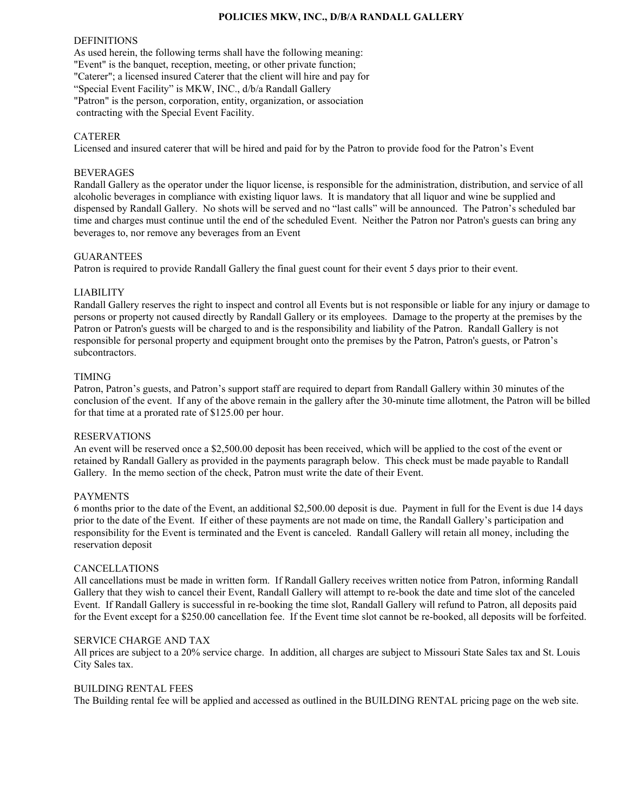## **POLICIES MKW, INC., D/B/A RANDALL GALLERY**

#### DEFINITIONS

As used herein, the following terms shall have the following meaning: "Event" is the banquet, reception, meeting, or other private function; "Caterer"; a licensed insured Caterer that the client will hire and pay for "Special Event Facility" is MKW, INC., d/b/a Randall Gallery "Patron" is the person, corporation, entity, organization, or association contracting with the Special Event Facility.

## CATERER

Licensed and insured caterer that will be hired and paid for by the Patron to provide food for the Patron's Event

### BEVERAGES

Randall Gallery as the operator under the liquor license, is responsible for the administration, distribution, and service of all alcoholic beverages in compliance with existing liquor laws. It is mandatory that all liquor and wine be supplied and dispensed by Randall Gallery. No shots will be served and no "last calls" will be announced. The Patron's scheduled bar time and charges must continue until the end of the scheduled Event. Neither the Patron nor Patron's guests can bring any beverages to, nor remove any beverages from an Event

### GUARANTEES

Patron is required to provide Randall Gallery the final guest count for their event 5 days prior to their event.

## LIABILITY

Randall Gallery reserves the right to inspect and control all Events but is not responsible or liable for any injury or damage to persons or property not caused directly by Randall Gallery or its employees. Damage to the property at the premises by the Patron or Patron's guests will be charged to and is the responsibility and liability of the Patron. Randall Gallery is not responsible for personal property and equipment brought onto the premises by the Patron, Patron's guests, or Patron's subcontractors.

#### TIMING

Patron, Patron's guests, and Patron's support staff are required to depart from Randall Gallery within 30 minutes of the conclusion of the event. If any of the above remain in the gallery after the 30-minute time allotment, the Patron will be billed for that time at a prorated rate of \$125.00 per hour.

## RESERVATIONS

An event will be reserved once a \$2,500.00 deposit has been received, which will be applied to the cost of the event or retained by Randall Gallery as provided in the payments paragraph below. This check must be made payable to Randall Gallery. In the memo section of the check, Patron must write the date of their Event.

### PAYMENTS

6 months prior to the date of the Event, an additional \$2,500.00 deposit is due. Payment in full for the Event is due 14 days prior to the date of the Event. If either of these payments are not made on time, the Randall Gallery's participation and responsibility for the Event is terminated and the Event is canceled. Randall Gallery will retain all money, including the reservation deposit

#### CANCELLATIONS

All cancellations must be made in written form. If Randall Gallery receives written notice from Patron, informing Randall Gallery that they wish to cancel their Event, Randall Gallery will attempt to re-book the date and time slot of the canceled Event. If Randall Gallery is successful in re-booking the time slot, Randall Gallery will refund to Patron, all deposits paid for the Event except for a \$250.00 cancellation fee. If the Event time slot cannot be re-booked, all deposits will be forfeited.

#### SERVICE CHARGE AND TAX

All prices are subject to a 20% service charge. In addition, all charges are subject to Missouri State Sales tax and St. Louis City Sales tax.

#### BUILDING RENTAL FEES

The Building rental fee will be applied and accessed as outlined in the BUILDING RENTAL pricing page on the web site.